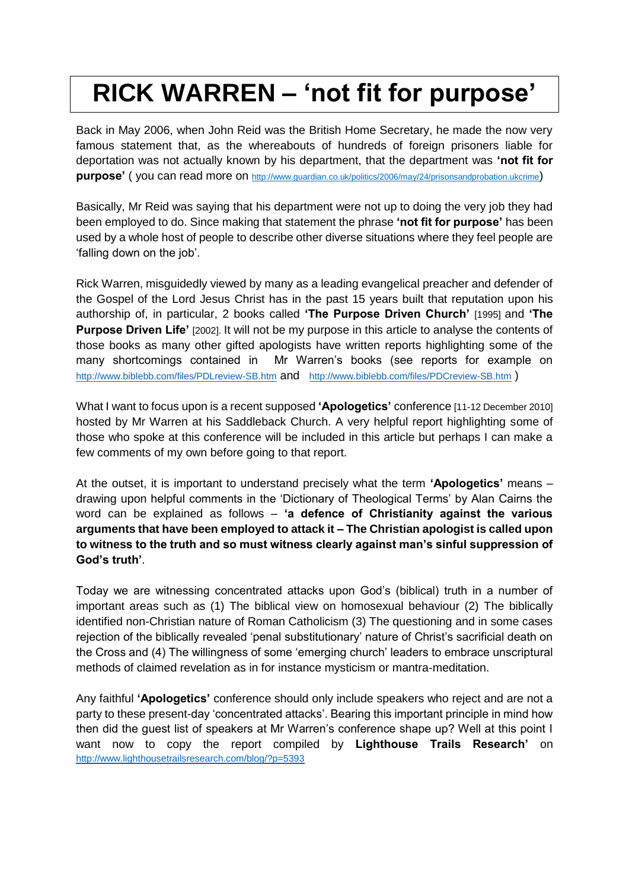## **RICK WARREN – 'not fit for purpose'**

Back in May 2006, when John Reid was the British Home Secretary, he made the now very famous statement that, as the whereabouts of hundreds of foreign prisoners liable for deportation was not actually known by his department, that the department was **'not fit for purpose'** ( you can read more on <http://www.guardian.co.uk/politics/2006/may/24/prisonsandprobation.ukcrime>)

Basically, Mr Reid was saying that his department were not up to doing the very job they had been employed to do. Since making that statement the phrase **'not fit for purpose'** has been used by a whole host of people to describe other diverse situations where they feel people are 'falling down on the job'.

Rick Warren, misguidedly viewed by many as a leading evangelical preacher and defender of the Gospel of the Lord Jesus Christ has in the past 15 years built that reputation upon his authorship of, in particular, 2 books called **'The Purpose Driven Church'** [1995] and **'The Purpose Driven Life'** [2002]. It will not be my purpose in this article to analyse the contents of those books as many other gifted apologists have written reports highlighting some of the many shortcomings contained in Mr Warren's books (see reports for example on <http://www.biblebb.com/files/PDLreview-SB.htm> and <http://www.biblebb.com/files/PDCreview-SB.htm> )

What I want to focus upon is a recent supposed **'Apologetics'** conference [11-12 December 2010] hosted by Mr Warren at his Saddleback Church. A very helpful report highlighting some of those who spoke at this conference will be included in this article but perhaps I can make a few comments of my own before going to that report.

At the outset, it is important to understand precisely what the term **'Apologetics'** means – drawing upon helpful comments in the 'Dictionary of Theological Terms' by Alan Cairns the word can be explained as follows – **'a defence of Christianity against the various arguments that have been employed to attack it – The Christian apologist is called upon to witness to the truth and so must witness clearly against man's sinful suppression of God's truth'**.

Today we are witnessing concentrated attacks upon God's (biblical) truth in a number of important areas such as (1) The biblical view on homosexual behaviour (2) The biblically identified non-Christian nature of Roman Catholicism (3) The questioning and in some cases rejection of the biblically revealed 'penal substitutionary' nature of Christ's sacrificial death on the Cross and (4) The willingness of some 'emerging church' leaders to embrace unscriptural methods of claimed revelation as in for instance mysticism or mantra-meditation.

Any faithful **'Apologetics'** conference should only include speakers who reject and are not a party to these present-day 'concentrated attacks'. Bearing this important principle in mind how then did the guest list of speakers at Mr Warren's conference shape up? Well at this point I want now to copy the report compiled by **Lighthouse Trails Research'** <http://www.lighthousetrailsresearch.com/blog/?p=5393>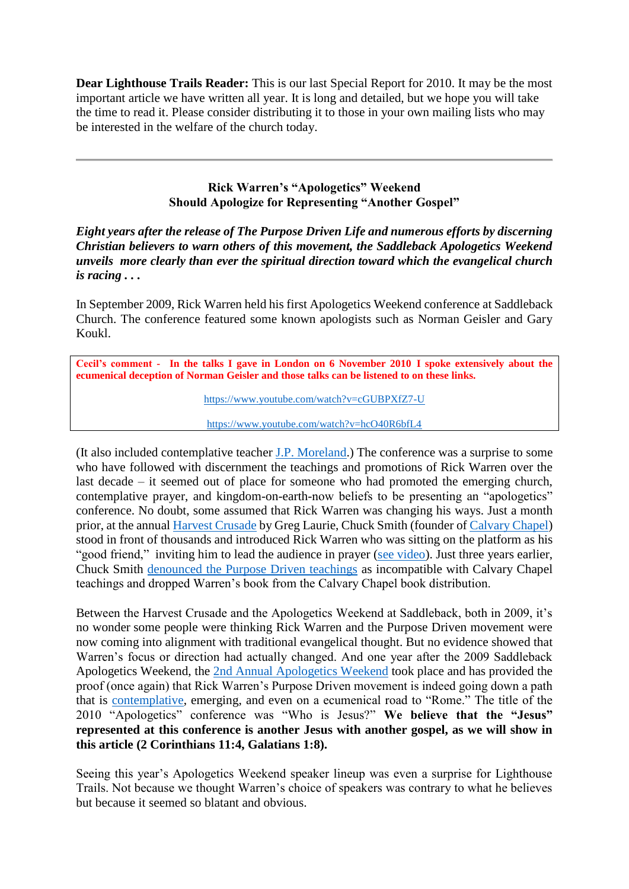**Dear Lighthouse Trails Reader:** This is our last Special Report for 2010. It may be the most important article we have written all year. It is long and detailed, but we hope you will take the time to read it. Please consider distributing it to those in your own mailing lists who may be interested in the welfare of the church today.

## **Rick Warren's "Apologetics" Weekend Should Apologize for Representing "Another Gospel"**

*Eight years after the release of The Purpose Driven Life and numerous efforts by discerning Christian believers to warn others of this movement, the Saddleback Apologetics Weekend unveils more clearly than ever the spiritual direction toward which the evangelical church is racing . . .*

In September 2009, Rick Warren held his first Apologetics Weekend conference at Saddleback Church. The conference featured some known apologists such as Norman Geisler and Gary Koukl.

**Cecil's comment - In the talks I gave in London on 6 November 2010 I spoke extensively about the ecumenical deception of Norman Geisler and those talks can be listened to on these links.**

<https://www.youtube.com/watch?v=cGUBPXfZ7-U>

<https://www.youtube.com/watch?v=hcO40R6bfL4>

(It also included contemplative teacher [J.P. Moreland.](http://www.lighthousetrailsresearch.com/blog/?p=2105)) The conference was a surprise to some who have followed with discernment the teachings and promotions of Rick Warren over the last decade – it seemed out of place for someone who had promoted the emerging church, contemplative prayer, and kingdom-on-earth-now beliefs to be presenting an "apologetics" conference. No doubt, some assumed that Rick Warren was changing his ways. Just a month prior, at the annual [Harvest Crusade](http://www.lighthousetrailsresearch.com/blog/?p=4211) by Greg Laurie, Chuck Smith (founder of [Calvary Chapel\)](http://www.lighthousetrailsresearch.com/calvarychapel.htm) stood in front of thousands and introduced Rick Warren who was sitting on the platform as his "good friend," inviting him to lead the audience in prayer [\(see video\)](http://www.youtube.com/watch?v=417tCBIc1cY). Just three years earlier, Chuck Smith [denounced the Purpose Driven teachings](http://www.lighthousetrailsresearch.com/recall.htm) as incompatible with Calvary Chapel teachings and dropped Warren's book from the Calvary Chapel book distribution.

Between the Harvest Crusade and the Apologetics Weekend at Saddleback, both in 2009, it's no wonder some people were thinking Rick Warren and the Purpose Driven movement were now coming into alignment with traditional evangelical thought. But no evidence showed that Warren's focus or direction had actually changed. And one year after the 2009 Saddleback Apologetics Weekend, the [2nd Annual Apologetics Weekend](http://saddleback.com/blogs/communityblog/annual-apologetics-weekend-who-is-jesus/) took place and has provided the proof (once again) that Rick Warren's Purpose Driven movement is indeed going down a path that is [contemplative,](http://www.lighthousetrailsresearch.com/newsletter061608.htm#LETTER.BLOCK24) emerging, and even on a ecumenical road to "Rome." The title of the 2010 "Apologetics" conference was "Who is Jesus?" **We believe that the "Jesus" represented at this conference is another Jesus with another gospel, as we will show in this article (2 Corinthians 11:4, Galatians 1:8).**

Seeing this year's Apologetics Weekend speaker lineup was even a surprise for Lighthouse Trails. Not because we thought Warren's choice of speakers was contrary to what he believes but because it seemed so blatant and obvious.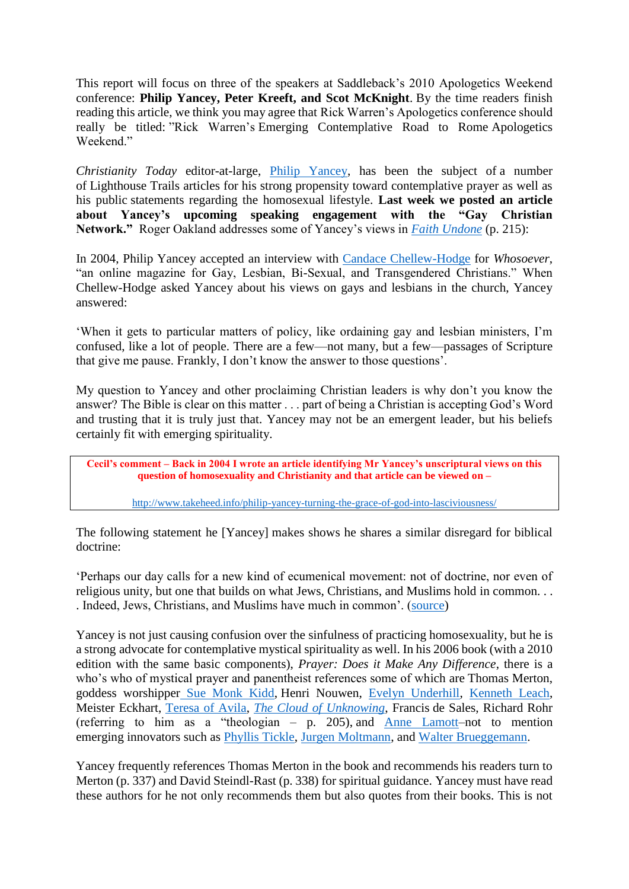This report will focus on three of the speakers at Saddleback's 2010 Apologetics Weekend conference: **Philip Yancey, Peter Kreeft, and Scot McKnight**. By the time readers finish reading this article, we think you may agree that Rick Warren's Apologetics conference should really be titled: "Rick Warren's Emerging Contemplative Road to Rome Apologetics Weekend."

*Christianity Today* editor-at-large, [Philip Yancey,](http://www.lighthousetrailsresearch.com/yancey.htm) has been the subject of a number of Lighthouse Trails articles for his strong propensity toward contemplative prayer as well as his public statements regarding the homosexual lifestyle. **Last week we posted an article about Yancey's upcoming speaking engagement with the "Gay Christian Network."** Roger Oakland addresses some of Yancey's views in *[Faith Undone](http://www.lighthousetrails.com/mm5/merchant.mvc?Screen=PROD&Store_Code=LTP&Product_Code=FA&Category_Code=BS)* (p. 215):

In 2004, Philip Yancey accepted an interview with [Candace Chellew-Hodge](http://www.whosoever.org/v8i6/yancey.shtml) for *Whosoever*, "an online magazine for Gay, Lesbian, Bi-Sexual, and Transgendered Christians." When Chellew-Hodge asked Yancey about his views on gays and lesbians in the church, Yancey answered:

'When it gets to particular matters of policy, like ordaining gay and lesbian ministers, I'm confused, like a lot of people. There are a few—not many, but a few—passages of Scripture that give me pause. Frankly, I don't know the answer to those questions'.

My question to Yancey and other proclaiming Christian leaders is why don't you know the answer? The Bible is clear on this matter . . . part of being a Christian is accepting God's Word and trusting that it is truly just that. Yancey may not be an emergent leader, but his beliefs certainly fit with emerging spirituality.

**Cecil's comment – Back in 2004 I wrote an article identifying Mr Yancey's unscriptural views on this question of homosexuality and Christianity and that article can be viewed on –**

<http://www.takeheed.info/philip-yancey-turning-the-grace-of-god-into-lasciviousness/>

The following statement he [Yancey] makes shows he shares a similar disregard for biblical doctrine:

'Perhaps our day calls for a new kind of ecumenical movement: not of doctrine, nor even of religious unity, but one that builds on what Jews, Christians, and Muslims hold in common. . . . Indeed, Jews, Christians, and Muslims have much in common'. [\(source\)](http://www.christianitytoday.com/ct/2004/november/18.120.html)

Yancey is not just causing confusion over the sinfulness of practicing homosexuality, but he is a strong advocate for contemplative mystical spirituality as well. In his 2006 book (with a 2010 edition with the same basic components), *Prayer: Does it Make Any Difference*, there is a who's who of mystical prayer and panentheist references some of which are Thomas Merton, goddess worshipper [Sue Monk Kidd,](http://www.lighthousetrailsresearch.com/suemonkkidd.htm) Henri Nouwen, [Evelyn Underhill,](http://www.lighthousetrailsresearch.com/underhill.htm) [Kenneth Leach,](http://www.amazon.com/Pastoral-Art-English-Mystics/dp/1592444571/ref=sr_1_3?ie=UTF8&s=books&qid=1293654261&sr=1-3) Meister Eckhart, [Teresa of Avila,](http://www.lighthousetrailsresearch.com/blog/?p=4865) *[The Cloud of Unknowing](http://www.lighthousetrailsresearch.com/cloudofunknowing.htm)*, Francis de Sales, Richard Rohr (referring to him as a "theologian – p. 205), and [Anne Lamott–](http://www.lighthousetrailsresearch.com/blog/?p=2807)not to mention emerging innovators such as [Phyllis Tickle,](http://www.lighthousetrailsresearch.com/blog/?p=1785) [Jurgen Moltmann,](http://www.lighthousetrailsresearch.com/blog/?p=3801) and [Walter Brueggemann.](http://www.lighthousetrailsresearch.com/blog/?p=4285)

Yancey frequently references Thomas Merton in the book and recommends his readers turn to Merton (p. 337) and David Steindl-Rast (p. 338) for spiritual guidance. Yancey must have read these authors for he not only recommends them but also quotes from their books. This is not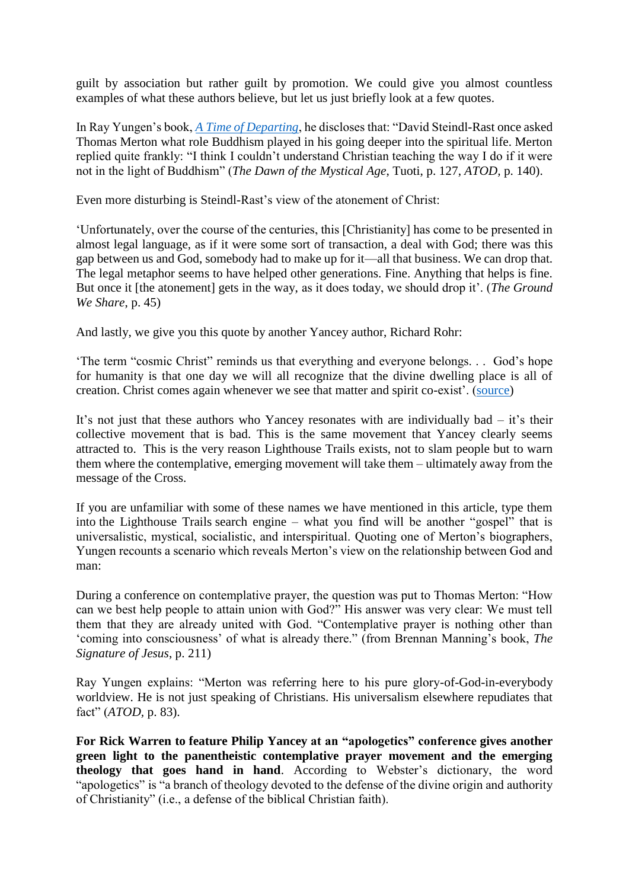guilt by association but rather guilt by promotion. We could give you almost countless examples of what these authors believe, but let us just briefly look at a few quotes.

In Ray Yungen's book, *[A Time of Departing](http://www.lighthousetrails.com/mm5/merchant.mvc?Screen=PROD&Store_Code=LTP&Product_Code=ATOD&Category_Code=BS)*, he discloses that: "David Steindl-Rast once asked Thomas Merton what role Buddhism played in his going deeper into the spiritual life. Merton replied quite frankly: "I think I couldn't understand Christian teaching the way I do if it were not in the light of Buddhism" (*The Dawn of the Mystical Age*, Tuoti, p. 127, *ATOD,* p. 140).

Even more disturbing is Steindl-Rast's view of the atonement of Christ:

'Unfortunately, over the course of the centuries, this [Christianity] has come to be presented in almost legal language, as if it were some sort of transaction, a deal with God; there was this gap between us and God, somebody had to make up for it—all that business. We can drop that. The legal metaphor seems to have helped other generations. Fine. Anything that helps is fine. But once it [the atonement] gets in the way, as it does today, we should drop it'. (*The Ground We Share*, p. 45)

And lastly, we give you this quote by another Yancey author, Richard Rohr:

'The term "cosmic Christ" reminds us that everything and everyone belongs. . . God's hope for humanity is that one day we will all recognize that the divine dwelling place is all of creation. Christ comes again whenever we see that matter and spirit co-exist'. [\(source\)](http://ncronline.org/news/spirituality/eternal-christ-cosmic-story)

It's not just that these authors who Yancey resonates with are individually bad – it's their collective movement that is bad. This is the same movement that Yancey clearly seems attracted to. This is the very reason Lighthouse Trails exists, not to slam people but to warn them where the contemplative, emerging movement will take them – ultimately away from the message of the Cross.

If you are unfamiliar with some of these names we have mentioned in this article, type them into the Lighthouse Trails search engine – what you find will be another "gospel" that is universalistic, mystical, socialistic, and interspiritual. Quoting one of Merton's biographers, Yungen recounts a scenario which reveals Merton's view on the relationship between God and man:

During a conference on contemplative prayer, the question was put to Thomas Merton: "How can we best help people to attain union with God?" His answer was very clear: We must tell them that they are already united with God. "Contemplative prayer is nothing other than 'coming into consciousness' of what is already there." (from Brennan Manning's book, *The Signature of Jesus*, p. 211)

Ray Yungen explains: "Merton was referring here to his pure glory-of-God-in-everybody worldview. He is not just speaking of Christians. His universalism elsewhere repudiates that fact" (*ATOD,* p. 83).

**For Rick Warren to feature Philip Yancey at an "apologetics" conference gives another green light to the panentheistic contemplative prayer movement and the emerging theology that goes hand in hand**. According to Webster's dictionary, the word "apologetics" is "a branch of theology devoted to the defense of the divine origin and authority of Christianity" (i.e., a defense of the biblical Christian faith).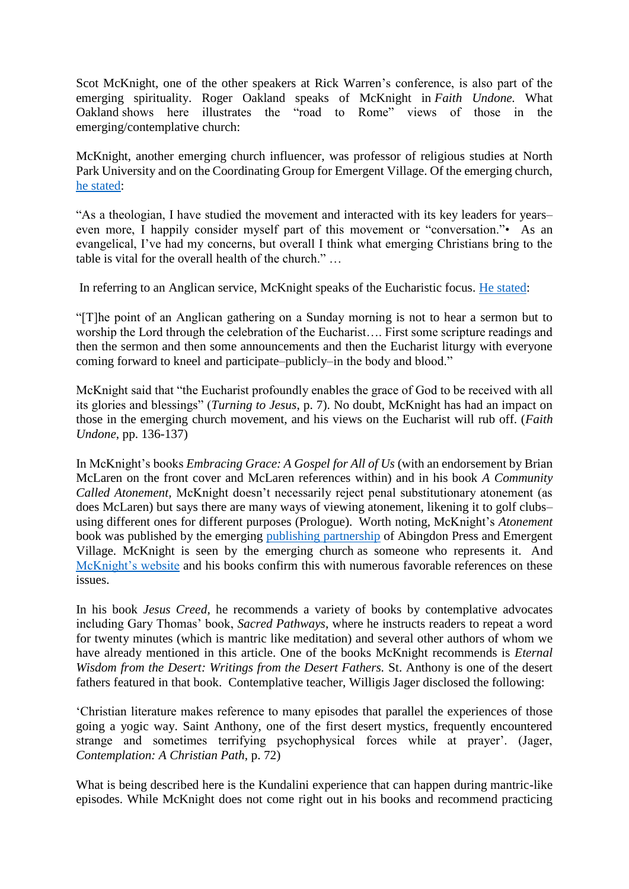Scot McKnight, one of the other speakers at Rick Warren's conference, is also part of the emerging spirituality. Roger Oakland speaks of McKnight in *Faith Undone.* What Oakland shows here illustrates the "road to Rome" views of those in the emerging/contemplative church:

McKnight, another emerging church influencer, was professor of religious studies at North Park University and on the Coordinating Group for Emergent Village. Of the emerging church, [he stated:](http://www.christianitytoday.com/40534)

"As a theologian, I have studied the movement and interacted with its key leaders for years– even more, I happily consider myself part of this movement or "conversation."• As an evangelical, I've had my concerns, but overall I think what emerging Christians bring to the table is vital for the overall health of the church." …

In referring to an Anglican service, McKnight speaks of the Eucharistic focus. [He stated:](http://blog.beliefnet.com/jesuscreed/2007/04/an-anglican-service.html)

"[T]he point of an Anglican gathering on a Sunday morning is not to hear a sermon but to worship the Lord through the celebration of the Eucharist…. First some scripture readings and then the sermon and then some announcements and then the Eucharist liturgy with everyone coming forward to kneel and participate–publicly–in the body and blood."

McKnight said that "the Eucharist profoundly enables the grace of God to be received with all its glories and blessings" (*Turning to Jesus*, p. 7). No doubt, McKnight has had an impact on those in the emerging church movement, and his views on the Eucharist will rub off. (*Faith Undone*, pp. 136-137)

In McKnight's books *Embracing Grace: A Gospel for All of Us* (with an endorsement by Brian McLaren on the front cover and McLaren references within) and in his book *A Community Called Atonement,* McKnight doesn't necessarily reject penal substitutionary atonement (as does McLaren) but says there are many ways of viewing atonement, likening it to golf clubs– using different ones for different purposes (Prologue). Worth noting, McKnight's *Atonement*  book was published by the emerging [publishing partnership](http://www.emergentvillage.com/about-information/publishing-partners) of Abingdon Press and Emergent Village. McKnight is seen by the emerging church as someone who represents it. And [McKnight's website](http://www.patheos.com/community/jesuscreed/) and his books confirm this with numerous favorable references on these issues.

In his book *Jesus Creed,* he recommends a variety of books by contemplative advocates including Gary Thomas' book, *Sacred Pathways*, where he instructs readers to repeat a word for twenty minutes (which is mantric like meditation) and several other authors of whom we have already mentioned in this article. One of the books McKnight recommends is *Eternal Wisdom from the Desert: Writings from the Desert Fathers.* St. Anthony is one of the desert fathers featured in that book. Contemplative teacher, Willigis Jager disclosed the following:

'Christian literature makes reference to many episodes that parallel the experiences of those going a yogic way. Saint Anthony, one of the first desert mystics, frequently encountered strange and sometimes terrifying psychophysical forces while at prayer'. (Jager, *Contemplation: A Christian Path*, p. 72)

What is being described here is the Kundalini experience that can happen during mantric-like episodes. While McKnight does not come right out in his books and recommend practicing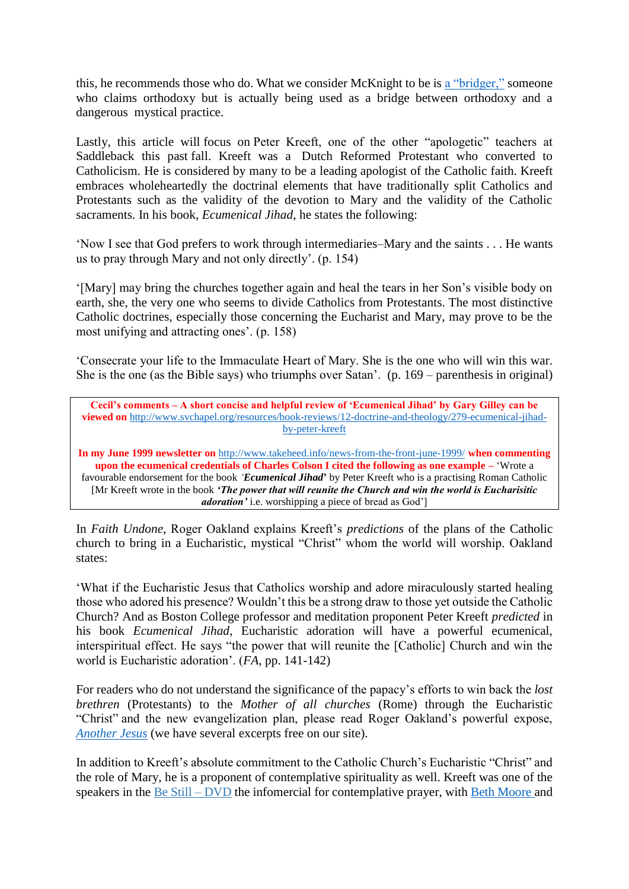this, he recommends those who do. What we consider McKnight to be is [a "bridger,"](http://www.crosstalkamerica.com/shows/2010/11/beware_the_bridgers_part_1_ort.php) someone who claims orthodoxy but is actually being used as a bridge between orthodoxy and a dangerous mystical practice.

Lastly, this article will focus on Peter Kreeft, one of the other "apologetic" teachers at Saddleback this past fall. Kreeft was a Dutch Reformed Protestant who converted to Catholicism. He is considered by many to be a leading apologist of the Catholic faith. Kreeft embraces wholeheartedly the doctrinal elements that have traditionally split Catholics and Protestants such as the validity of the devotion to Mary and the validity of the Catholic sacraments. In his book, *Ecumenical Jihad*, he states the following:

'Now I see that God prefers to work through intermediaries–Mary and the saints . . . He wants us to pray through Mary and not only directly'. (p. 154)

'[Mary] may bring the churches together again and heal the tears in her Son's visible body on earth, she, the very one who seems to divide Catholics from Protestants. The most distinctive Catholic doctrines, especially those concerning the Eucharist and Mary, may prove to be the most unifying and attracting ones'. (p. 158)

'Consecrate your life to the Immaculate Heart of Mary. She is the one who will win this war. She is the one (as the Bible says) who triumphs over Satan'. (p. 169 – parenthesis in original)

**Cecil's comments – A short concise and helpful review of 'Ecumenical Jihad' by Gary Gilley can be viewed on** [http://www.svchapel.org/resources/book-reviews/12-doctrine-and-theology/279-ecumenical-jihad](http://www.svchapel.org/resources/book-reviews/12-doctrine-and-theology/279-ecumenical-jihad-by-peter-kreeft)[by-peter-kreeft](http://www.svchapel.org/resources/book-reviews/12-doctrine-and-theology/279-ecumenical-jihad-by-peter-kreeft)

**In my June 1999 newsletter on** <http://www.takeheed.info/news-from-the-front-june-1999/> **when commenting upon the ecumenical credentials of Charles Colson I cited the following as one example –** 'Wrote a favourable endorsement for the book *'Ecumenical Jihad***'** by Peter Kreeft who is a practising Roman Catholic [Mr Kreeft wrote in the book *'The power that will reunite the Church and win the world is Eucharisitic adoration'* i.e. worshipping a piece of bread as God']

In *Faith Undone,* Roger Oakland explains Kreeft's *predictions* of the plans of the Catholic church to bring in a Eucharistic, mystical "Christ" whom the world will worship. Oakland states:

'What if the Eucharistic Jesus that Catholics worship and adore miraculously started healing those who adored his presence? Wouldn't this be a strong draw to those yet outside the Catholic Church? And as Boston College professor and meditation proponent Peter Kreeft *predicted* in his book *Ecumenical Jihad*, Eucharistic adoration will have a powerful ecumenical, interspiritual effect. He says "the power that will reunite the [Catholic] Church and win the world is Eucharistic adoration'. (*FA*, pp. 141-142)

For readers who do not understand the significance of the papacy's efforts to win back the *lost brethren* (Protestants) to the *Mother of all churches* (Rome) through the Eucharistic "Christ" and the new evangelization plan, please read Roger Oakland's powerful expose, *[Another Jesus](http://www.lighthousetrails.com/mm5/merchant.mvc?Screen=PROD&Store_Code=LTP&Product_Code=AJ)* (we have several excerpts free on our site).

In addition to Kreeft's absolute commitment to the Catholic Church's Eucharistic "Christ" and the role of Mary, he is a proponent of contemplative spirituality as well. Kreeft was one of the speakers in the Be Still – DVD the infomercial for contemplative prayer, with [Beth Moore a](http://www.lighthousetrailsresearch.com/blog/?p=4858)nd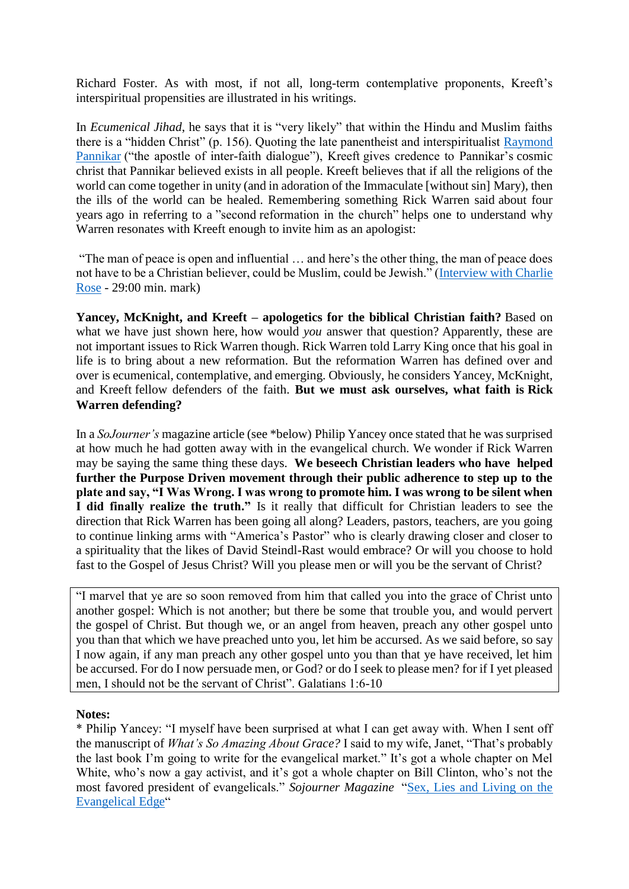Richard Foster. As with most, if not all, long-term contemplative proponents, Kreeft's interspiritual propensities are illustrated in his writings.

In *Ecumenical Jihad*, he says that it is "very likely" that within the Hindu and Muslim faiths there is a "hidden Christ" (p. 156). Quoting the late panentheist and interspiritualist [Raymond](http://ncronline.org/news/spirituality/raimon-panikkar-apostle-inter-faith-dialogue-dies)  [Pannikar](http://ncronline.org/news/spirituality/raimon-panikkar-apostle-inter-faith-dialogue-dies) ("the apostle of inter-faith dialogue"), Kreeft gives credence to Pannikar's cosmic christ that Pannikar believed exists in all people. Kreeft believes that if all the religions of the world can come together in unity (and in adoration of the Immaculate [without sin] Mary), then the ills of the world can be healed. Remembering something Rick Warren said about four years ago in referring to a "second reformation in the church" helps one to understand why Warren resonates with Kreeft enough to invite him as an apologist:

"The man of peace is open and influential … and here's the other thing, the man of peace does not have to be a Christian believer, could be Muslim, could be Jewish." [\(Interview with Charlie](http://video.google.com/videoplay?docid=-5555324196046364882)  [Rose](http://video.google.com/videoplay?docid=-5555324196046364882) - 29:00 min. mark)

**Yancey, McKnight, and Kreeft – apologetics for the biblical Christian faith?** Based on what we have just shown here, how would *you* answer that question? Apparently, these are not important issues to Rick Warren though. Rick Warren told Larry King once that his goal in life is to bring about a new reformation. But the reformation Warren has defined over and over is ecumenical, contemplative, and emerging. Obviously, he considers Yancey, McKnight, and Kreeft fellow defenders of the faith. **But we must ask ourselves, what faith is Rick Warren defending?**

In a *SoJourner's* magazine article (see \*below) Philip Yancey once stated that he was surprised at how much he had gotten away with in the evangelical church. We wonder if Rick Warren may be saying the same thing these days. **We beseech Christian leaders who have helped further the Purpose Driven movement through their public adherence to step up to the plate and say, "I Was Wrong. I was wrong to promote him. I was wrong to be silent when I did finally realize the truth."** Is it really that difficult for Christian leaders to see the direction that Rick Warren has been going all along? Leaders, pastors, teachers, are you going to continue linking arms with "America's Pastor" who is clearly drawing closer and closer to a spirituality that the likes of David Steindl-Rast would embrace? Or will you choose to hold fast to the Gospel of Jesus Christ? Will you please men or will you be the servant of Christ?

"I marvel that ye are so soon removed from him that called you into the grace of Christ unto another gospel: Which is not another; but there be some that trouble you, and would pervert the gospel of Christ. But though we, or an angel from heaven, preach any other gospel unto you than that which we have preached unto you, let him be accursed. As we said before, so say I now again, if any man preach any other gospel unto you than that ye have received, let him be accursed. For do I now persuade men, or God? or do I seek to please men? for if I yet pleased men, I should not be the servant of Christ". Galatians 1:6-10

## **Notes:**

\* Philip Yancey: "I myself have been surprised at what I can get away with. When I sent off the manuscript of *What's So Amazing About Grace?* I said to my wife, Janet, "That's probably the last book I'm going to write for the evangelical market." It's got a whole chapter on Mel White, who's now a gay activist, and it's got a whole chapter on Bill Clinton, who's not the most favored president of evangelicals." *Sojourner Magazine* ["Sex, Lies and Living on the](http://www.sojo.net/index.cfm?action=magazine.article&issue=soj0402&article=040224)  [Evangelical Edge"](http://www.sojo.net/index.cfm?action=magazine.article&issue=soj0402&article=040224)